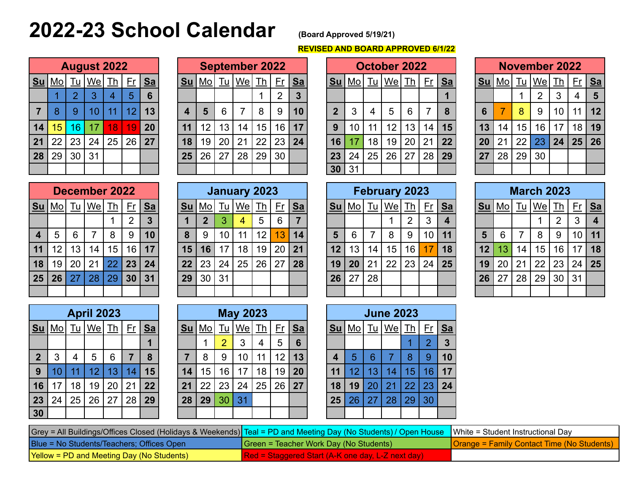# **2022-23 School Calendar (Board Approved 5/19/21)**

## **REVISED AND BOARD APPROVED 6/1/22**

|                | <b>August 2022</b> |                |       |    |                 |    |  |  |  |  |  |  |
|----------------|--------------------|----------------|-------|----|-----------------|----|--|--|--|--|--|--|
| Su             | Mo                 | <b>Tu</b>      | We Th |    | Er              | Sa |  |  |  |  |  |  |
|                |                    | $\overline{2}$ | 3     | 4  | 5               | 6  |  |  |  |  |  |  |
| $\overline{7}$ | 8                  | 9              | 10    | 11 | 12 <sub>2</sub> | 13 |  |  |  |  |  |  |
| 14             | 15 <sup>1</sup>    | 16             | 17    | 18 | 19              | 20 |  |  |  |  |  |  |
| 21             | 22                 | 23             | 24    | 25 | 26              | 27 |  |  |  |  |  |  |
| 28             | 29                 | 30             | 31    |    |                 |    |  |  |  |  |  |  |
|                |                    |                |       |    |                 |    |  |  |  |  |  |  |

|                         | <b>September 2022</b> |    |                      |    |                         |           |  |  |  |  |  |  |
|-------------------------|-----------------------|----|----------------------|----|-------------------------|-----------|--|--|--|--|--|--|
| Su                      |                       |    | <u>Mo  Tu We  Th</u> |    | Er                      | <u>Sa</u> |  |  |  |  |  |  |
|                         |                       |    |                      | 2  | $\overline{\mathbf{3}}$ |           |  |  |  |  |  |  |
| $\overline{\mathbf{4}}$ | 5                     | 6  | 7                    | 8  | 9                       | 10        |  |  |  |  |  |  |
| 11                      | 12 <sup>2</sup>       | 13 | 14                   | 15 | 16                      | 17        |  |  |  |  |  |  |
| 18                      | 19                    | 20 | 21                   | 22 | 23                      | 24        |  |  |  |  |  |  |
| 25                      | 26                    | 27 | 28                   | 29 | 30                      |           |  |  |  |  |  |  |
|                         |                       |    |                      |    |                         |           |  |  |  |  |  |  |

|                |               |           |                             | <b>August 2022</b> |                |         |            |                 |    | <b>September 2022</b>       |               |    |         | October 2022 |             |        |           |                 |    | <b>November 2022</b> |    |                 |                 |    |    |           |    |              |
|----------------|---------------|-----------|-----------------------------|--------------------|----------------|---------|------------|-----------------|----|-----------------------------|---------------|----|---------|--------------|-------------|--------|-----------|-----------------|----|----------------------|----|-----------------|-----------------|----|----|-----------|----|--------------|
|                | <u>Su Mo </u> | <u>Tu</u> | $ \underline{\mathsf{We}} $ | <u> Th</u> '       |                | $Fr$ Sa | <u> Su</u> | <u>  Mo  Tu</u> |    | $ \mathsf{We} \mathsf{Th} $ |               |    | $Fr$ Sa |              | <u>Su</u>   | $ $ Mo | <u>Tu</u> | $ \mathsf{We} $ | Th | <u>Fr</u>   Sa       |    | <u>Su</u>       | <u> Mo  Tu</u>  |    | We | <u>Th</u> |    | <u>Fr Sa</u> |
|                |               |           |                             | 4                  | $\overline{5}$ | 6       |            |                 |    |                             |               | 2  | 3       |              |             |        |           |                 |    |                      |    |                 |                 |    | 2  | 3         | 4  | - 5          |
| 7 <sup>1</sup> | 8             | 9         | 10                          | 11                 | 12             | 13      | 4          | 5               | 6  |                             | 8             | 9  | 10      |              | $\mathbf 2$ | 3      | 4         | $5\overline{)}$ | 6  |                      | 8  | 6               |                 | 8  | 9  | 10        | 11 | 12           |
| 14             | 15            | 16        | 17                          | 18                 | 19             | 20      | 11         | 12              | 13 | 14                          | 15            | 16 | 17      |              | 9           | 10     | 11        | 12              | 13 | 14                   | 15 | 13              | 14              | 15 | 16 | 17        |    | 18 19        |
|                | $21 \mid 22$  | 23        | 24                          | 25                 | 26             | 27      | 18         | 19              | 20 | 21                          | $^{\circ}$ 22 | 23 | 24      |              | 16          |        | 18        | 19              | 20 | 21                   | 22 | 20 <sub>2</sub> | 21              | 22 | 23 | 24        |    | 25 26        |
|                | 28 29         | 30        | 31                          |                    |                |         | 25         | 26              | 27 | 28                          | 29            | 30 |         |              | 23          | 24     | 25        | 26              | 27 | 28                   | 29 | 27              | 28 <sup>1</sup> | 29 | 30 |           |    |              |
|                |               |           |                             |                    |                |         |            |                 |    |                             |               |    |         |              | 30 31       |        |           |                 |    |                      |    |                 |                 |    |    |           |    |              |

|           | <b>November 2022</b> |                 |                      |    |    |         |  |  |  |  |  |  |
|-----------|----------------------|-----------------|----------------------|----|----|---------|--|--|--|--|--|--|
| <u>Su</u> |                      |                 | <u>Mo  Tu We  Th</u> |    | Er | $S_{a}$ |  |  |  |  |  |  |
|           |                      |                 | $\overline{2}$       | 3  | 4  | 5       |  |  |  |  |  |  |
| 6         |                      | 8               | 9                    | 10 | 11 | 12      |  |  |  |  |  |  |
| 13        | 14                   | 15 <sup>1</sup> | 16                   | 17 | 18 | 19      |  |  |  |  |  |  |
| 20        | 21                   |                 | $22 \mid 23$         | 24 | 25 | 26      |  |  |  |  |  |  |
| 27        | 28                   | 29              | 30                   |    |    |         |  |  |  |  |  |  |
|           |                      |                 |                      |    |    |         |  |  |  |  |  |  |

|                         | December 2022 |      |               |    |    |    |  |  |  |  |  |  |  |
|-------------------------|---------------|------|---------------|----|----|----|--|--|--|--|--|--|--|
| Su                      | Mol           | $Iu$ | $ $ We $ $ Th |    | Fr | Sa |  |  |  |  |  |  |  |
|                         |               |      |               |    | 2  | 3  |  |  |  |  |  |  |  |
| $\overline{\mathbf{4}}$ | 5             | 6    |               | 8  | 9  | 10 |  |  |  |  |  |  |  |
| 11                      | 12            | 13   | 14            | 15 | 16 | 17 |  |  |  |  |  |  |  |
| 18                      | 19            | 20   | 21            | 22 | 23 | 24 |  |  |  |  |  |  |  |
| 25                      | 26            | 27   | 28            | 29 | 30 | 31 |  |  |  |  |  |  |  |
|                         |               |      |               |    |    |    |  |  |  |  |  |  |  |

|                 |                        |           | December 2022               |           |                 |         |           |                           |    | <b>January 2023</b> |                 |                 |                 |    |              |                                                | <b>February 2023</b> |    |                 |    |           |                |    | <b>March 2023</b> |                |           |                 |
|-----------------|------------------------|-----------|-----------------------------|-----------|-----------------|---------|-----------|---------------------------|----|---------------------|-----------------|-----------------|-----------------|----|--------------|------------------------------------------------|----------------------|----|-----------------|----|-----------|----------------|----|-------------------|----------------|-----------|-----------------|
| <u>Su </u>      | $\overline{\text{Mo}}$ | <u>Tu</u> | $ \underline{\mathsf{We}} $ | <u>Th</u> |                 | $Fr$ Sa | <u>Su</u> | $\overline{\text{Mo}}$ Tu |    | <u> We  Th</u>      |                 |                 | <u>Fr</u> Sa    | Su | <u>  Mol</u> | $\underline{\mathsf{T}}\underline{\mathsf{u}}$ | $ \mathsf{We} $      | Th | <u>Fr</u>   Sa  |    | <u>Su</u> | <u> Mo  Tu</u> |    | $ \mathsf{We} $   | <u>Th</u>      |           | <u>Fr Sa</u>    |
|                 |                        |           |                             |           |                 | 3       |           |                           |    |                     | 5               | 6               |                 |    |              |                                                |                      | 2  |                 | 4  |           |                |    |                   | $\overline{2}$ |           | -4              |
| 4 <sup>1</sup>  | 5                      | 6         |                             | 8         | 9               | 10      | 8         | 9                         | 10 | 11                  | 12 <sup>2</sup> | 13 <sub>l</sub> | 14              | 5  | 6            |                                                | 8                    | 9  | 10 <sub>h</sub> | 11 | 5         | 6              |    | 8                 | 9              | $10$   11 |                 |
| 11              | 12                     | 13        | 14                          | 15        | 16              | 17      | 15        | 16 <sup>1</sup>           | 17 | 18                  | 19              | 20              | $\overline{21}$ | 12 | 13           | 14                                             | 15                   | 16 |                 | 18 | 12        | 13             | 14 | 15                | 16             |           | 17 18           |
| 18 <sup>1</sup> | 19                     | 20        | 21                          | 22        | 23              | 24      | 22        | 23                        | 24 | 25                  | 26              | 27              | 28              | 19 | 20           | 21                                             | 22                   | 23 | 24              | 25 | 19        | 20             | 21 | 22                | 23             | 24        | $\overline{25}$ |
| 25 <sup>1</sup> | 26                     | 27        | 28                          | 29        | 30 <sub>1</sub> | 31      | 29        | 30                        | 31 |                     |                 |                 |                 | 26 | 27           | 28                                             |                      |    |                 |    | 26        | 27             | 28 | 29                | 30             | 31        |                 |
|                 |                        |           |                             |           |                 |         |           |                           |    |                     |                 |                 |                 |    |              |                                                |                      |    |                 |    |           |                |    |                   |                |           |                 |

| <b>February 2023</b> |    |    |                      |    |    |           |  |  |  |  |  |
|----------------------|----|----|----------------------|----|----|-----------|--|--|--|--|--|
| <b>Su</b>            |    |    | <u>Mo  Tu We  Th</u> |    | Fr | <u>Sa</u> |  |  |  |  |  |
|                      |    |    |                      | 2  | 3  |           |  |  |  |  |  |
| 5                    | 6  | 7  | 8                    | 9  | 10 | 11        |  |  |  |  |  |
| 12                   | 13 | 14 | 15                   | 16 | 17 | 18        |  |  |  |  |  |
| 19                   | 20 | 21 | 22                   | 23 | 24 | 25        |  |  |  |  |  |
| 26                   | 27 | 28 |                      |    |    |           |  |  |  |  |  |
|                      |    |    |                      |    |    |           |  |  |  |  |  |

| <b>March 2023</b> |    |    |                          |                |    |    |  |  |  |  |  |
|-------------------|----|----|--------------------------|----------------|----|----|--|--|--|--|--|
| Su                |    |    | <u>Mo   Tu   We   Th</u> |                | Er | Sa |  |  |  |  |  |
|                   |    |    |                          | $\overline{2}$ | 3  | 4  |  |  |  |  |  |
| 5                 | 6  | 7  | 8                        | 9              | 10 | 11 |  |  |  |  |  |
| 12                | 13 | 14 | 15                       | 16             | 17 | 18 |  |  |  |  |  |
| 19                | 20 | 21 | 22                       | 23             | 24 | 25 |  |  |  |  |  |
| 26                | 27 | 28 | 29                       | 30             | 31 |    |  |  |  |  |  |
|                   |    |    |                          |                |    |    |  |  |  |  |  |

|                | <b>April 2023</b> |    |                 |    |                |    |  |  |  |  |  |  |  |
|----------------|-------------------|----|-----------------|----|----------------|----|--|--|--|--|--|--|--|
| Su             | <u>Mo</u> l       |    | Tu   We   Th    |    | Er             | Sa |  |  |  |  |  |  |  |
|                |                   |    |                 |    |                |    |  |  |  |  |  |  |  |
| $\overline{2}$ | 3                 | 4  | 5               | 6  | $\overline{7}$ | 8  |  |  |  |  |  |  |  |
| 9              | 10                | 11 | 12 <sub>2</sub> | 13 | 14             | 15 |  |  |  |  |  |  |  |
| 16             | 17                | 18 | 19              | 20 | 21             | 22 |  |  |  |  |  |  |  |
| 23             | 24                | 25 | 26              | 27 | 28             | 29 |  |  |  |  |  |  |  |
| 30             |                   |    |                 |    |                |    |  |  |  |  |  |  |  |

|             |                 |     | <b>April 2023</b> |           |     |           |           |           |           | <b>May 2023</b> |    |    |           | <b>June 2023</b> |           |           |           |           |           |           |  |  |
|-------------|-----------------|-----|-------------------|-----------|-----|-----------|-----------|-----------|-----------|-----------------|----|----|-----------|------------------|-----------|-----------|-----------|-----------|-----------|-----------|--|--|
| <u>Su</u>   | <u>Mo</u>       | l u | <u>We</u>         | <u>Th</u> | F٢  | <u>Sa</u> | <u>Su</u> | <u>Mo</u> | <u>Tu</u> | <u>We</u>       |    | F٢ | <u>Sa</u> | <u>Su</u>        | <u>Mo</u> | <u>Tu</u> | <u>We</u> | <u>Th</u> | <u>Fr</u> | <u>Sa</u> |  |  |
|             |                 |     |                   |           |     | и         |           |           |           | ິ               | 4  | 5  | 6         |                  |           |           |           |           | ∩         |           |  |  |
| $\mathbf 2$ | 3               | 4   | 5                 | 6         |     | 8         |           | 8         | 9         | 10              | 11 | 12 | 13        |                  | 5         | 6         |           |           | 9         | 10        |  |  |
| 9           | 10 <sub>1</sub> |     | 12                | 13        | 14. | 15        | 14        | 15        | 16        |                 | 18 | 19 | 20        | 11               | 12        | 13        | 14.       | 15        | 16        | 17        |  |  |
| 16          | 7               | 18  | 19                | 20        |     | 22        | 21        | 22        | 23        | 24              | 25 | 26 | 27        | 18               | 19        | 20        | 21        | 22        | 23        | 24        |  |  |
| 23          | 24              | 25  | 26                | 27        | 28  | 29        | 28        | 29        | 30        | 31              |    |    |           | 25               | 26        | 27        | 28        | 29        | 30        |           |  |  |
| 30          |                 |     |                   |           |     |           |           |           |           |                 |    |    |           |                  |           |           |           |           |           |           |  |  |

| <b>June 2023</b> |                |      |         |    |           |                |  |  |  |  |  |
|------------------|----------------|------|---------|----|-----------|----------------|--|--|--|--|--|
| <b>Su</b>        | M <sub>O</sub> | $Iu$ | We   Th |    | <u>Fr</u> | <u>Sa</u>      |  |  |  |  |  |
|                  |                |      |         |    | 2         | $\overline{3}$ |  |  |  |  |  |
| 4                | 5              | 6    | 7       | 8  | 9         | 10             |  |  |  |  |  |
| 11               | 12             | 13   | 14      | 15 | 16        | 17             |  |  |  |  |  |
| 18               | 19             | 20   | 21      | 22 | 23        | 24             |  |  |  |  |  |
| 25               | 26             | 27   | 28      | 29 | 30        |                |  |  |  |  |  |
|                  |                |      |         |    |           |                |  |  |  |  |  |

| Grey = All Buildings/Offices Closed (Holidays & Weekends) Teal = PD and Meeting Day (No Students) / Open House   White = Student Instructional Day |                                                             |                                                   |
|----------------------------------------------------------------------------------------------------------------------------------------------------|-------------------------------------------------------------|---------------------------------------------------|
| Blue = No Students/Teachers; Offices Open                                                                                                          | $\sqrt{\frac{1}{1}}$ Green = Teacher Work Day (No Students) | <b>Drange = Family Contact Time (No Students)</b> |
| Yellow = PD and Meeting Day (No Students)                                                                                                          | <b>IRed = Staggered Start (A-K one day, L-Z next day)</b>   |                                                   |